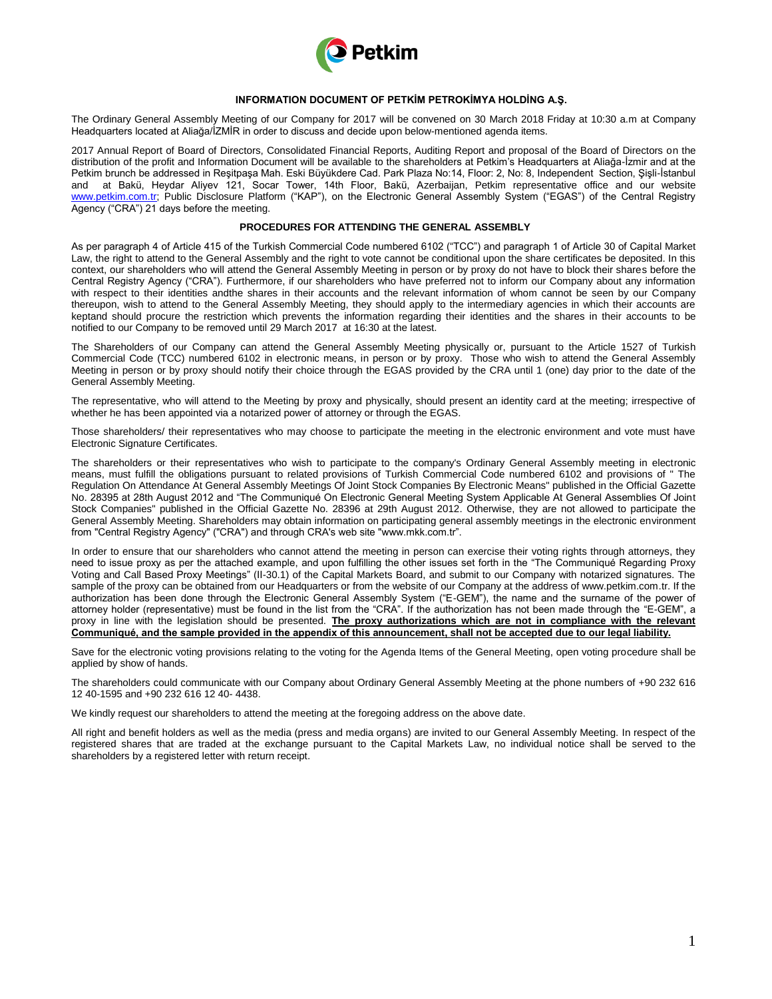

### **INFORMATION DOCUMENT OF PETKİM PETROKİMYA HOLDİNG A.Ş.**

The Ordinary General Assembly Meeting of our Company for 2017 will be convened on 30 March 2018 Friday at 10:30 a.m at Company Headquarters located at Aliağa/İZMİR in order to discuss and decide upon below-mentioned agenda items.

2017 Annual Report of Board of Directors, Consolidated Financial Reports, Auditing Report and proposal of the Board of Directors on the distribution of the profit and Information Document will be available to the shareholders at Petkim's Headquarters at Aliağa-İzmir and at the Petkim brunch be addressed in Reşitpaşa Mah. Eski Büyükdere Cad. Park Plaza No:14, Floor: 2, No: 8, Independent Section, Şişli-İstanbul and at Bakü, Heydar Aliyev 121, Socar Tower, 14th Floor, Bakü, Azerbaijan, Petkim representative office and our website [www.petkim.com.tr;](http://www.petkim.com.tr/) Public Disclosure Platform ("KAP"), on the Electronic General Assembly System ("EGAS") of the Central Registry Agency ("CRA") 21 days before the meeting.

### **PROCEDURES FOR ATTENDING THE GENERAL ASSEMBLY**

As per paragraph 4 of Article 415 of the Turkish Commercial Code numbered 6102 ("TCC") and paragraph 1 of Article 30 of Capital Market Law, the right to attend to the General Assembly and the right to vote cannot be conditional upon the share certificates be deposited. In this context, our shareholders who will attend the General Assembly Meeting in person or by proxy do not have to block their shares before the Central Registry Agency ("CRA"). Furthermore, if our shareholders who have preferred not to inform our Company about any information with respect to their identities andthe shares in their accounts and the relevant information of whom cannot be seen by our Company thereupon, wish to attend to the General Assembly Meeting, they should apply to the intermediary agencies in which their accounts are keptand should procure the restriction which prevents the information regarding their identities and the shares in their accounts to be notified to our Company to be removed until 29 March 2017 at 16:30 at the latest.

The Shareholders of our Company can attend the General Assembly Meeting physically or, pursuant to the Article 1527 of Turkish Commercial Code (TCC) numbered 6102 in electronic means, in person or by proxy. Those who wish to attend the General Assembly Meeting in person or by proxy should notify their choice through the EGAS provided by the CRA until 1 (one) day prior to the date of the General Assembly Meeting.

The representative, who will attend to the Meeting by proxy and physically, should present an identity card at the meeting; irrespective of whether he has been appointed via a notarized power of attorney or through the EGAS.

Those shareholders/ their representatives who may choose to participate the meeting in the electronic environment and vote must have Electronic Signature Certificates.

The shareholders or their representatives who wish to participate to the company's Ordinary General Assembly meeting in electronic means, must fulfill the obligations pursuant to related provisions of Turkish Commercial Code numbered 6102 and provisions of " The Regulation On Attendance At General Assembly Meetings Of Joint Stock Companies By Electronic Means" published in the Official Gazette No. 28395 at 28th August 2012 and "The Communiqué On Electronic General Meeting System Applicable At General Assemblies Of Joint Stock Companies" published in the Official Gazette No. 28396 at 29th August 2012. Otherwise, they are not allowed to participate the General Assembly Meeting. Shareholders may obtain information on participating general assembly meetings in the electronic environment from "Central Registry Agency" ("CRA") and through CRA's web site "www.mkk.com.tr".

In order to ensure that our shareholders who cannot attend the meeting in person can exercise their voting rights through attorneys, they need to issue proxy as per the attached example, and upon fulfilling the other issues set forth in the "The Communiqué Regarding Proxy Voting and Call Based Proxy Meetings" (II-30.1) of the Capital Markets Board, and submit to our Company with notarized signatures. The sample of the proxy can be obtained from our Headquarters or from the website of our Company at the address of www.petkim.com.tr. If the authorization has been done through the Electronic General Assembly System ("E-GEM"), the name and the surname of the power of attorney holder (representative) must be found in the list from the "CRA". If the authorization has not been made through the "E-GEM", a proxy in line with the legislation should be presented. **The proxy authorizations which are not in compliance with the relevant Communiqué, and the sample provided in the appendix of this announcement, shall not be accepted due to our legal liability.**

Save for the electronic voting provisions relating to the voting for the Agenda Items of the General Meeting, open voting procedure shall be applied by show of hands.

The shareholders could communicate with our Company about Ordinary General Assembly Meeting at the phone numbers of +90 232 616 12 40-1595 and +90 232 616 12 40- 4438.

We kindly request our shareholders to attend the meeting at the foregoing address on the above date.

All right and benefit holders as well as the media (press and media organs) are invited to our General Assembly Meeting. In respect of the registered shares that are traded at the exchange pursuant to the Capital Markets Law, no individual notice shall be served to the shareholders by a registered letter with return receipt.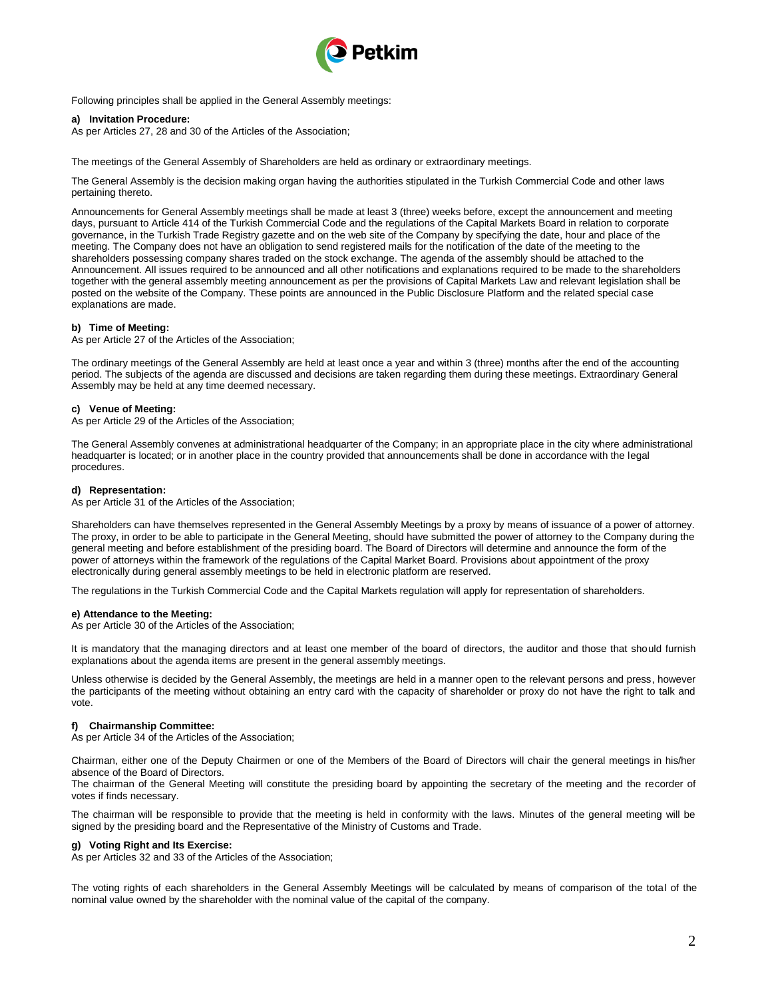

Following principles shall be applied in the General Assembly meetings:

#### **a) Invitation Procedure:**

As per Articles 27, 28 and 30 of the Articles of the Association;

The meetings of the General Assembly of Shareholders are held as ordinary or extraordinary meetings.

The General Assembly is the decision making organ having the authorities stipulated in the Turkish Commercial Code and other laws pertaining thereto.

Announcements for General Assembly meetings shall be made at least 3 (three) weeks before, except the announcement and meeting days, pursuant to Article 414 of the Turkish Commercial Code and the regulations of the Capital Markets Board in relation to corporate governance, in the Turkish Trade Registry gazette and on the web site of the Company by specifying the date, hour and place of the meeting. The Company does not have an obligation to send registered mails for the notification of the date of the meeting to the shareholders possessing company shares traded on the stock exchange. The agenda of the assembly should be attached to the Announcement. All issues required to be announced and all other notifications and explanations required to be made to the shareholders together with the general assembly meeting announcement as per the provisions of Capital Markets Law and relevant legislation shall be posted on the website of the Company. These points are announced in the Public Disclosure Platform and the related special case explanations are made.

#### **b) Time of Meeting:**

As per Article 27 of the Articles of the Association;

The ordinary meetings of the General Assembly are held at least once a year and within 3 (three) months after the end of the accounting period. The subjects of the agenda are discussed and decisions are taken regarding them during these meetings. Extraordinary General Assembly may be held at any time deemed necessary.

#### **c) Venue of Meeting:**

As per Article 29 of the Articles of the Association;

The General Assembly convenes at administrational headquarter of the Company; in an appropriate place in the city where administrational headquarter is located; or in another place in the country provided that announcements shall be done in accordance with the legal procedures.

#### **d) Representation:**

As per Article 31 of the Articles of the Association;

Shareholders can have themselves represented in the General Assembly Meetings by a proxy by means of issuance of a power of attorney. The proxy, in order to be able to participate in the General Meeting, should have submitted the power of attorney to the Company during the general meeting and before establishment of the presiding board. The Board of Directors will determine and announce the form of the power of attorneys within the framework of the regulations of the Capital Market Board. Provisions about appointment of the proxy electronically during general assembly meetings to be held in electronic platform are reserved.

The regulations in the Turkish Commercial Code and the Capital Markets regulation will apply for representation of shareholders.

#### **e) Attendance to the Meeting:**

As per Article 30 of the Articles of the Association;

It is mandatory that the managing directors and at least one member of the board of directors, the auditor and those that should furnish explanations about the agenda items are present in the general assembly meetings.

Unless otherwise is decided by the General Assembly, the meetings are held in a manner open to the relevant persons and press, however the participants of the meeting without obtaining an entry card with the capacity of shareholder or proxy do not have the right to talk and vote.

#### **f) Chairmanship Committee:**

As per Article 34 of the Articles of the Association;

Chairman, either one of the Deputy Chairmen or one of the Members of the Board of Directors will chair the general meetings in his/her absence of the Board of Directors.

The chairman of the General Meeting will constitute the presiding board by appointing the secretary of the meeting and the recorder of votes if finds necessary.

The chairman will be responsible to provide that the meeting is held in conformity with the laws. Minutes of the general meeting will be signed by the presiding board and the Representative of the Ministry of Customs and Trade.

### **g) Voting Right and Its Exercise:**

As per Articles 32 and 33 of the Articles of the Association;

The voting rights of each shareholders in the General Assembly Meetings will be calculated by means of comparison of the total of the nominal value owned by the shareholder with the nominal value of the capital of the company.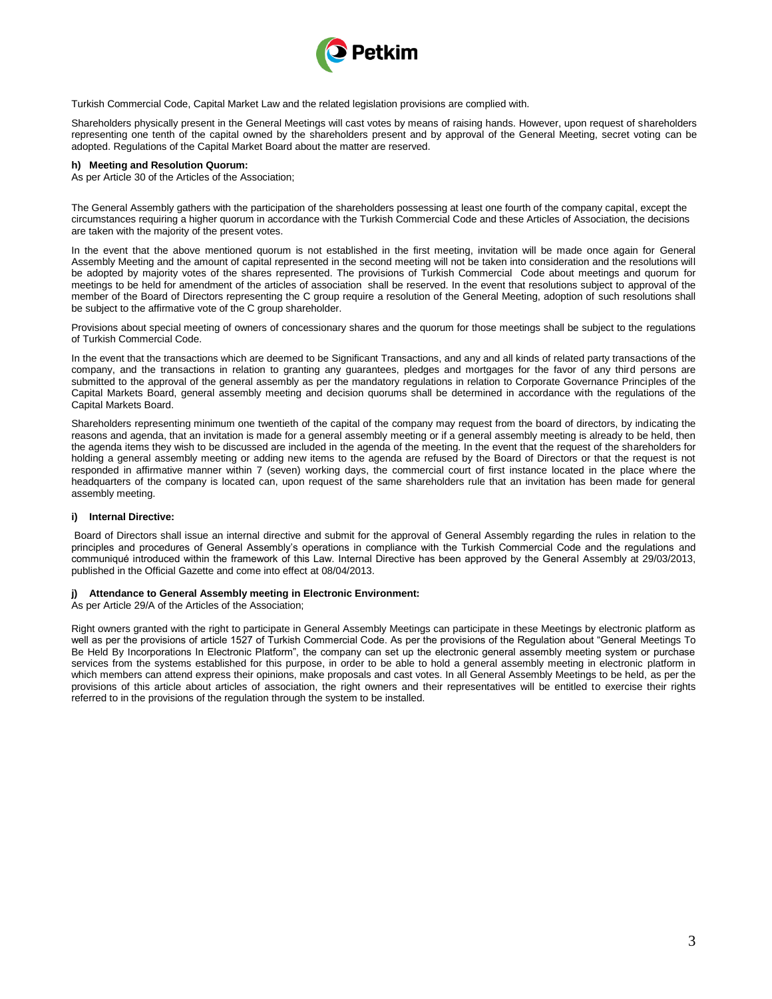

Turkish Commercial Code, Capital Market Law and the related legislation provisions are complied with.

Shareholders physically present in the General Meetings will cast votes by means of raising hands. However, upon request of shareholders representing one tenth of the capital owned by the shareholders present and by approval of the General Meeting, secret voting can be adopted. Regulations of the Capital Market Board about the matter are reserved.

#### **h) Meeting and Resolution Quorum:**

As per Article 30 of the Articles of the Association;

The General Assembly gathers with the participation of the shareholders possessing at least one fourth of the company capital, except the circumstances requiring a higher quorum in accordance with the Turkish Commercial Code and these Articles of Association, the decisions are taken with the majority of the present votes.

In the event that the above mentioned quorum is not established in the first meeting, invitation will be made once again for General Assembly Meeting and the amount of capital represented in the second meeting will not be taken into consideration and the resolutions will be adopted by majority votes of the shares represented. The provisions of Turkish Commercial Code about meetings and quorum for meetings to be held for amendment of the articles of association shall be reserved. In the event that resolutions subject to approval of the member of the Board of Directors representing the C group require a resolution of the General Meeting, adoption of such resolutions shall be subject to the affirmative vote of the C group shareholder.

Provisions about special meeting of owners of concessionary shares and the quorum for those meetings shall be subject to the regulations of Turkish Commercial Code.

In the event that the transactions which are deemed to be Significant Transactions, and any and all kinds of related party transactions of the company, and the transactions in relation to granting any guarantees, pledges and mortgages for the favor of any third persons are submitted to the approval of the general assembly as per the mandatory regulations in relation to Corporate Governance Principles of the Capital Markets Board, general assembly meeting and decision quorums shall be determined in accordance with the regulations of the Capital Markets Board.

Shareholders representing minimum one twentieth of the capital of the company may request from the board of directors, by indicating the reasons and agenda, that an invitation is made for a general assembly meeting or if a general assembly meeting is already to be held, then the agenda items they wish to be discussed are included in the agenda of the meeting. In the event that the request of the shareholders for holding a general assembly meeting or adding new items to the agenda are refused by the Board of Directors or that the request is not responded in affirmative manner within 7 (seven) working days, the commercial court of first instance located in the place where the headquarters of the company is located can, upon request of the same shareholders rule that an invitation has been made for general assembly meeting.

## **i) Internal Directive:**

Board of Directors shall issue an internal directive and submit for the approval of General Assembly regarding the rules in relation to the principles and procedures of General Assembly's operations in compliance with the Turkish Commercial Code and the regulations and communiqué introduced within the framework of this Law. Internal Directive has been approved by the General Assembly at 29/03/2013, published in the Official Gazette and come into effect at 08/04/2013.

### **j) Attendance to General Assembly meeting in Electronic Environment:**

As per Article 29/A of the Articles of the Association;

Right owners granted with the right to participate in General Assembly Meetings can participate in these Meetings by electronic platform as well as per the provisions of article 1527 of Turkish Commercial Code. As per the provisions of the Regulation about "General Meetings To Be Held By Incorporations In Electronic Platform", the company can set up the electronic general assembly meeting system or purchase services from the systems established for this purpose, in order to be able to hold a general assembly meeting in electronic platform in which members can attend express their opinions, make proposals and cast votes. In all General Assembly Meetings to be held, as per the provisions of this article about articles of association, the right owners and their representatives will be entitled to exercise their rights referred to in the provisions of the regulation through the system to be installed.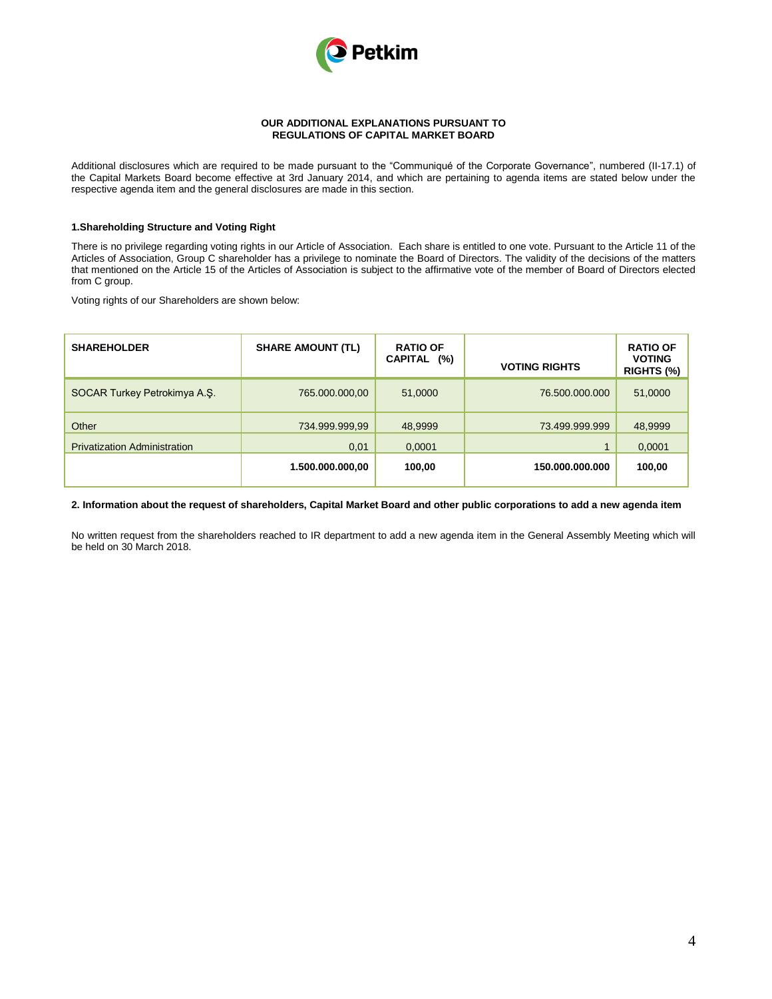

#### **OUR ADDITIONAL EXPLANATIONS PURSUANT TO REGULATIONS OF CAPITAL MARKET BOARD**

Additional disclosures which are required to be made pursuant to the "Communiqué of the Corporate Governance", numbered (II-17.1) of the Capital Markets Board become effective at 3rd January 2014, and which are pertaining to agenda items are stated below under the respective agenda item and the general disclosures are made in this section.

### **1.Shareholding Structure and Voting Right**

There is no privilege regarding voting rights in our Article of Association. Each share is entitled to one vote. Pursuant to the Article 11 of the Articles of Association, Group C shareholder has a privilege to nominate the Board of Directors. The validity of the decisions of the matters that mentioned on the Article 15 of the Articles of Association is subject to the affirmative vote of the member of Board of Directors elected from C group.

Voting rights of our Shareholders are shown below:

| <b>SHAREHOLDER</b>                  | <b>SHARE AMOUNT (TL)</b> | <b>RATIO OF</b><br><b>CAPITAL</b><br>$(\%)$ | <b>VOTING RIGHTS</b> | <b>RATIO OF</b><br><b>VOTING</b><br>RIGHTS $(\%)$ |
|-------------------------------------|--------------------------|---------------------------------------------|----------------------|---------------------------------------------------|
| SOCAR Turkey Petrokimya A.S.        | 765.000.000,00           | 51,0000                                     | 76,500,000,000       | 51,0000                                           |
| Other                               | 734.999.999,99           | 48,9999                                     | 73.499.999.999       | 48,9999                                           |
| <b>Privatization Administration</b> | 0,01                     | 0,0001                                      |                      | 0,0001                                            |
|                                     | 1.500.000.000,00         | 100,00                                      | 150.000.000.000      | 100,00                                            |

### **2. Information about the request of shareholders, Capital Market Board and other public corporations to add a new agenda item**

No written request from the shareholders reached to IR department to add a new agenda item in the General Assembly Meeting which will be held on 30 March 2018.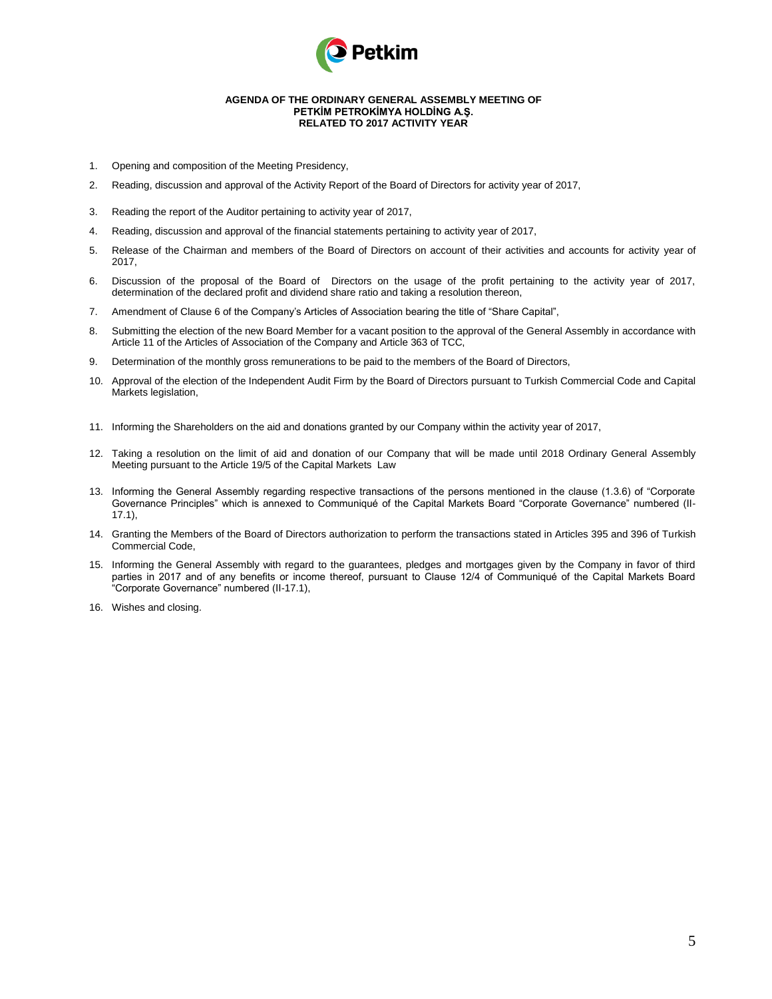

#### **AGENDA OF THE ORDINARY GENERAL ASSEMBLY MEETING OF PETKİM PETROKİMYA HOLDİNG A.Ş. RELATED TO 2017 ACTIVITY YEAR**

- 1. Opening and composition of the Meeting Presidency,
- 2. Reading, discussion and approval of the Activity Report of the Board of Directors for activity year of 2017,
- 3. Reading the report of the Auditor pertaining to activity year of 2017,
- 4. Reading, discussion and approval of the financial statements pertaining to activity year of 2017,
- 5. Release of the Chairman and members of the Board of Directors on account of their activities and accounts for activity year of 2017,
- 6. Discussion of the proposal of the Board of Directors on the usage of the profit pertaining to the activity year of 2017, determination of the declared profit and dividend share ratio and taking a resolution thereon,
- 7. Amendment of Clause 6 of the Company's Articles of Association bearing the title of "Share Capital",
- 8. Submitting the election of the new Board Member for a vacant position to the approval of the General Assembly in accordance with Article 11 of the Articles of Association of the Company and Article 363 of TCC,
- 9. Determination of the monthly gross remunerations to be paid to the members of the Board of Directors,
- 10. Approval of the election of the Independent Audit Firm by the Board of Directors pursuant to Turkish Commercial Code and Capital Markets legislation,
- 11. Informing the Shareholders on the aid and donations granted by our Company within the activity year of 2017,
- 12. Taking a resolution on the limit of aid and donation of our Company that will be made until 2018 Ordinary General Assembly Meeting pursuant to the Article 19/5 of the Capital Markets Law
- 13. Informing the General Assembly regarding respective transactions of the persons mentioned in the clause (1.3.6) of "Corporate Governance Principles" which is annexed to Communiqué of the Capital Markets Board "Corporate Governance" numbered (II-17.1),
- 14. Granting the Members of the Board of Directors authorization to perform the transactions stated in Articles 395 and 396 of Turkish Commercial Code,
- 15. Informing the General Assembly with regard to the guarantees, pledges and mortgages given by the Company in favor of third parties in 2017 and of any benefits or income thereof, pursuant to Clause 12/4 of Communiqué of the Capital Markets Board "Corporate Governance" numbered (II-17.1),
- 16. Wishes and closing.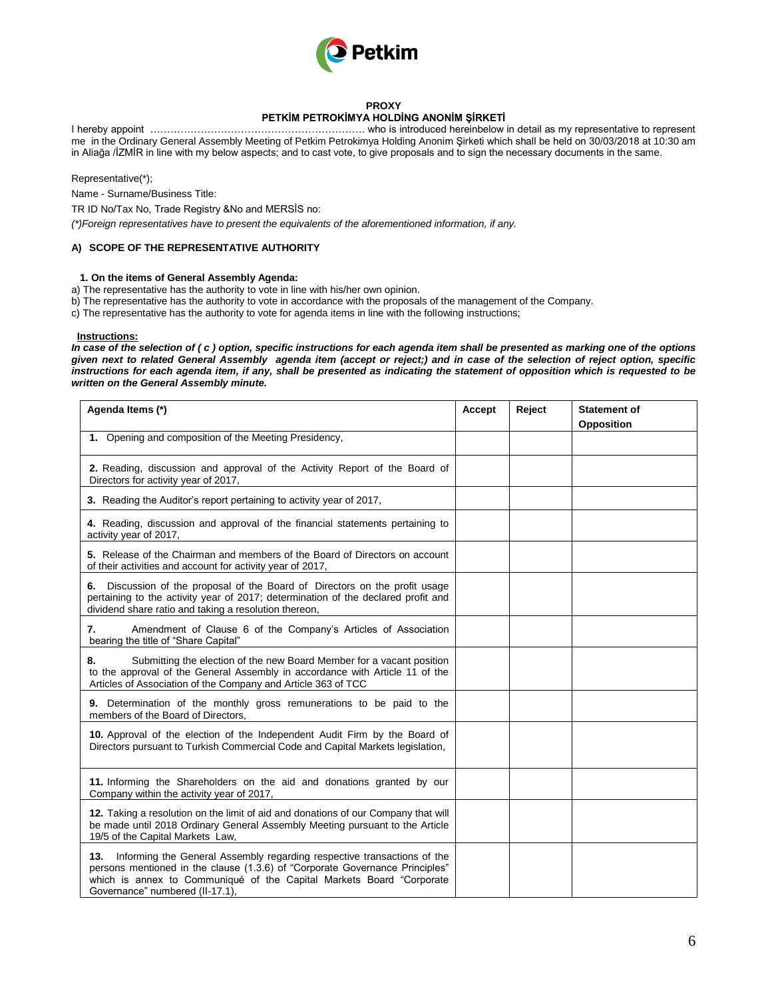

### **PROXY**

# **PETKİM PETROKİMYA HOLDİNG ANONİM ŞİRKETİ**

I hereby appoint ………………………………………………………. who is introduced hereinbelow in detail as my representative to represent me in the Ordinary General Assembly Meeting of Petkim Petrokimya Holding Anonim Şirketi which shall be held on 30/03/2018 at 10:30 am in Aliağa /İZMİR in line with my below aspects; and to cast vote, to give proposals and to sign the necessary documents in the same.

Representative(\*);

Name - Surname/Business Title:

TR ID No/Tax No, Trade Registry &No and MERSİS no:

*(\*)Foreign representatives have to present the equivalents of the aforementioned information, if any.* 

## **A) SCOPE OF THE REPRESENTATIVE AUTHORITY**

## **1. On the items of General Assembly Agenda:**

- a) The representative has the authority to vote in line with his/her own opinion.
- b) The representative has the authority to vote in accordance with the proposals of the management of the Company.

c) The representative has the authority to vote for agenda items in line with the following instructions;

#### **Instructions:**

*In case of the selection of (c) option, specific instructions for each agenda item shall be presented as marking one of the options given next to related General Assembly agenda item (accept or reject;) and in case of the selection of reject option, specific instructions for each agenda item, if any, shall be presented as indicating the statement of opposition which is requested to be written on the General Assembly minute.*

| Agenda Items (*)                                                                                                                                                                                                                                                          | Accept | Reject | <b>Statement of</b><br><b>Opposition</b> |
|---------------------------------------------------------------------------------------------------------------------------------------------------------------------------------------------------------------------------------------------------------------------------|--------|--------|------------------------------------------|
| 1. Opening and composition of the Meeting Presidency,                                                                                                                                                                                                                     |        |        |                                          |
| 2. Reading, discussion and approval of the Activity Report of the Board of<br>Directors for activity year of 2017,                                                                                                                                                        |        |        |                                          |
| 3. Reading the Auditor's report pertaining to activity year of 2017,                                                                                                                                                                                                      |        |        |                                          |
| 4. Reading, discussion and approval of the financial statements pertaining to<br>activity year of 2017,                                                                                                                                                                   |        |        |                                          |
| 5. Release of the Chairman and members of the Board of Directors on account<br>of their activities and account for activity year of 2017,                                                                                                                                 |        |        |                                          |
| 6. Discussion of the proposal of the Board of Directors on the profit usage<br>pertaining to the activity year of 2017; determination of the declared profit and<br>dividend share ratio and taking a resolution thereon,                                                 |        |        |                                          |
| Amendment of Clause 6 of the Company's Articles of Association<br>7.<br>bearing the title of "Share Capital"                                                                                                                                                              |        |        |                                          |
| Submitting the election of the new Board Member for a vacant position<br>8.<br>to the approval of the General Assembly in accordance with Article 11 of the<br>Articles of Association of the Company and Article 363 of TCC                                              |        |        |                                          |
| 9. Determination of the monthly gross remunerations to be paid to the<br>members of the Board of Directors,                                                                                                                                                               |        |        |                                          |
| 10. Approval of the election of the Independent Audit Firm by the Board of<br>Directors pursuant to Turkish Commercial Code and Capital Markets legislation,                                                                                                              |        |        |                                          |
| 11. Informing the Shareholders on the aid and donations granted by our<br>Company within the activity year of 2017,                                                                                                                                                       |        |        |                                          |
| 12. Taking a resolution on the limit of aid and donations of our Company that will<br>be made until 2018 Ordinary General Assembly Meeting pursuant to the Article<br>19/5 of the Capital Markets Law,                                                                    |        |        |                                          |
| Informing the General Assembly regarding respective transactions of the<br>13.<br>persons mentioned in the clause (1.3.6) of "Corporate Governance Principles"<br>which is annex to Communiqué of the Capital Markets Board "Corporate<br>Governance" numbered (II-17.1), |        |        |                                          |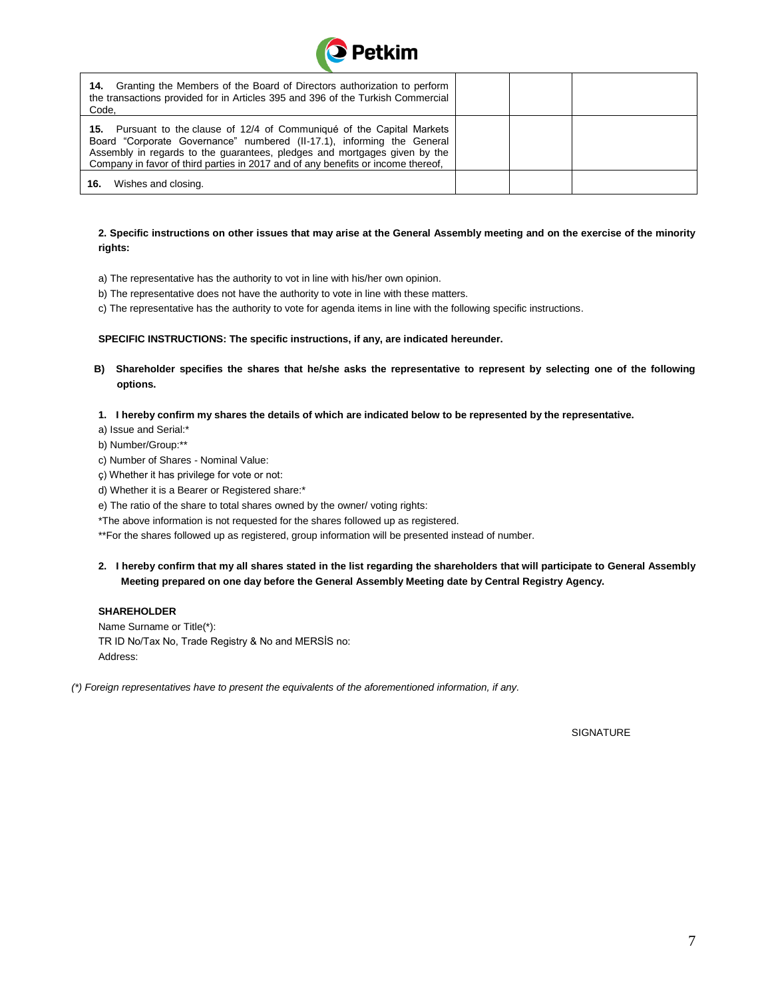

| <b>14.</b> Granting the Members of the Board of Directors authorization to perform<br>the transactions provided for in Articles 395 and 396 of the Turkish Commercial<br>Code,                                                                                                                                     |  |  |
|--------------------------------------------------------------------------------------------------------------------------------------------------------------------------------------------------------------------------------------------------------------------------------------------------------------------|--|--|
| 15. Pursuant to the clause of 12/4 of Communiqué of the Capital Markets<br>Board "Corporate Governance" numbered (II-17.1), informing the General<br>Assembly in regards to the guarantees, pledges and mortgages given by the<br>Company in favor of third parties in 2017 and of any benefits or income thereof. |  |  |
| Wishes and closing.<br>16.                                                                                                                                                                                                                                                                                         |  |  |

## **2. Specific instructions on other issues that may arise at the General Assembly meeting and on the exercise of the minority rights:**

- a) The representative has the authority to vot in line with his/her own opinion.
- b) The representative does not have the authority to vote in line with these matters.
- c) The representative has the authority to vote for agenda items in line with the following specific instructions.

#### **SPECIFIC INSTRUCTIONS: The specific instructions, if any, are indicated hereunder.**

- **B) Shareholder specifies the shares that he/she asks the representative to represent by selecting one of the following options.**
- **1. I hereby confirm my shares the details of which are indicated below to be represented by the representative.**

a) Issue and Serial:\*

b) Number/Group:\*\*

- c) Number of Shares Nominal Value:
- ç) Whether it has privilege for vote or not:
- d) Whether it is a Bearer or Registered share:\*
- e) The ratio of the share to total shares owned by the owner/ voting rights:
- \*The above information is not requested for the shares followed up as registered.

\*\*For the shares followed up as registered, group information will be presented instead of number.

## **2. I hereby confirm that my all shares stated in the list regarding the shareholders that will participate to General Assembly Meeting prepared on one day before the General Assembly Meeting date by Central Registry Agency.**

## **SHAREHOLDER**

Name Surname or Title(\*): TR ID No/Tax No, Trade Registry & No and MERSİS no: Address:

*(\*) Foreign representatives have to present the equivalents of the aforementioned information, if any.* 

**SIGNATURE**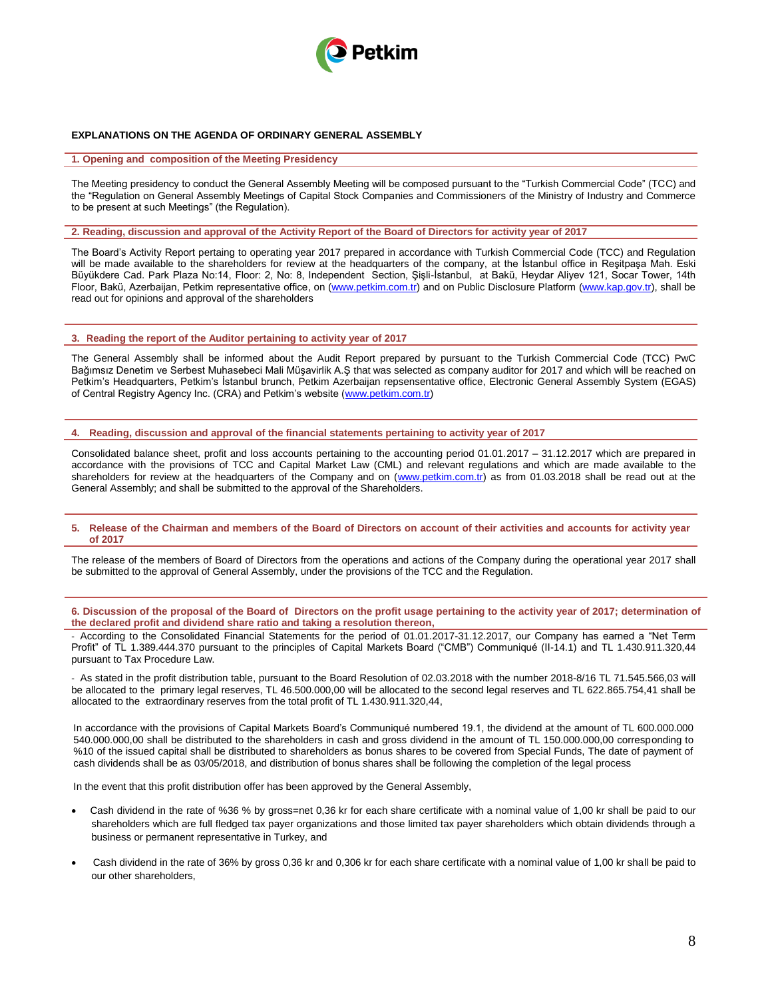

#### **EXPLANATIONS ON THE AGENDA OF ORDINARY GENERAL ASSEMBLY**

#### **1. Opening and composition of the Meeting Presidency**

The Meeting presidency to conduct the General Assembly Meeting will be composed pursuant to the "Turkish Commercial Code" (TCC) and the "Regulation on General Assembly Meetings of Capital Stock Companies and Commissioners of the Ministry of Industry and Commerce to be present at such Meetings" (the Regulation).

**2. Reading, discussion and approval of the Activity Report of the Board of Directors for activity year of 2017**

The Board's Activity Report pertaing to operating year 2017 prepared in accordance with Turkish Commercial Code (TCC) and Regulation will be made available to the shareholders for review at the headquarters of the company, at the İstanbul office in Reşitpaşa Mah. Eski Büyükdere Cad. Park Plaza No:14, Floor: 2, No: 8, Independent Section, Şişli-İstanbul, at Bakü, Heydar Aliyev 121, Socar Tower, 14th Floor, Bakü, Azerbaijan, Petkim representative office, on [\(www.petkim.com.tr\)](http://www.petkim.com.tr/) and on Public Disclosure Platform [\(www.kap.gov.tr\)](http://www.kap.gov.tr/), shall be read out for opinions and approval of the shareholders

#### **3. Reading the report of the Auditor pertaining to activity year of 2017**

The General Assembly shall be informed about the Audit Report prepared by pursuant to the Turkish Commercial Code (TCC) PwC Bağımsız Denetim ve Serbest Muhasebeci Mali Müşavirlik A.Ş that was selected as company auditor for 2017 and which will be reached on Petkim's Headquarters, Petkim's İstanbul brunch, Petkim Azerbaijan repsensentative office, Electronic General Assembly System (EGAS) of Central Registry Agency Inc. (CRA) and Petkim's website [\(www.petkim.com.tr\)](http://www.petkim.com.tr/)

**4. Reading, discussion and approval of the financial statements pertaining to activity year of 2017**

Consolidated balance sheet, profit and loss accounts pertaining to the accounting period 01.01.2017 – 31.12.2017 which are prepared in accordance with the provisions of TCC and Capital Market Law (CML) and relevant regulations and which are made available to the shareholders for review at the headquarters of the Company and on [\(www.petkim.com.tr\)](http://www.petkim.com.tr/) as from 01.03.2018 shall be read out at the General Assembly; and shall be submitted to the approval of the Shareholders.

#### **5. Release of the Chairman and members of the Board of Directors on account of their activities and accounts for activity year of 2017**

The release of the members of Board of Directors from the operations and actions of the Company during the operational year 2017 shall be submitted to the approval of General Assembly, under the provisions of the TCC and the Regulation.

**6. Discussion of the proposal of the Board of Directors on the profit usage pertaining to the activity year of 2017; determination of the declared profit and dividend share ratio and taking a resolution thereon,**

- According to the Consolidated Financial Statements for the period of 01.01.2017-31.12.2017, our Company has earned a "Net Term Profit" of TL 1.389.444.370 pursuant to the principles of Capital Markets Board ("CMB") Communiqué (II-14.1) and TL 1.430.911.320,44 pursuant to Tax Procedure Law.

- As stated in the profit distribution table, pursuant to the Board Resolution of 02.03.2018 with the number 2018-8/16 TL 71.545.566,03 will be allocated to the primary legal reserves, TL 46.500.000,00 will be allocated to the second legal reserves and TL 622.865.754,41 shall be allocated to the extraordinary reserves from the total profit of TL 1.430.911.320,44,

In accordance with the provisions of Capital Markets Board's Communiqué numbered 19.1, the dividend at the amount of TL 600.000.000 540.000.000,00 shall be distributed to the shareholders in cash and gross dividend in the amount of TL 150.000.000,00 corresponding to %10 of the issued capital shall be distributed to shareholders as bonus shares to be covered from Special Funds, The date of payment of cash dividends shall be as 03/05/2018, and distribution of bonus shares shall be following the completion of the legal process

In the event that this profit distribution offer has been approved by the General Assembly,

- Cash dividend in the rate of %36 % by gross=net 0,36 kr for each share certificate with a nominal value of 1,00 kr shall be paid to our shareholders which are full fledged tax payer organizations and those limited tax payer shareholders which obtain dividends through a business or permanent representative in Turkey, and
- Cash dividend in the rate of 36% by gross 0,36 kr and 0,306 kr for each share certificate with a nominal value of 1,00 kr shall be paid to our other shareholders,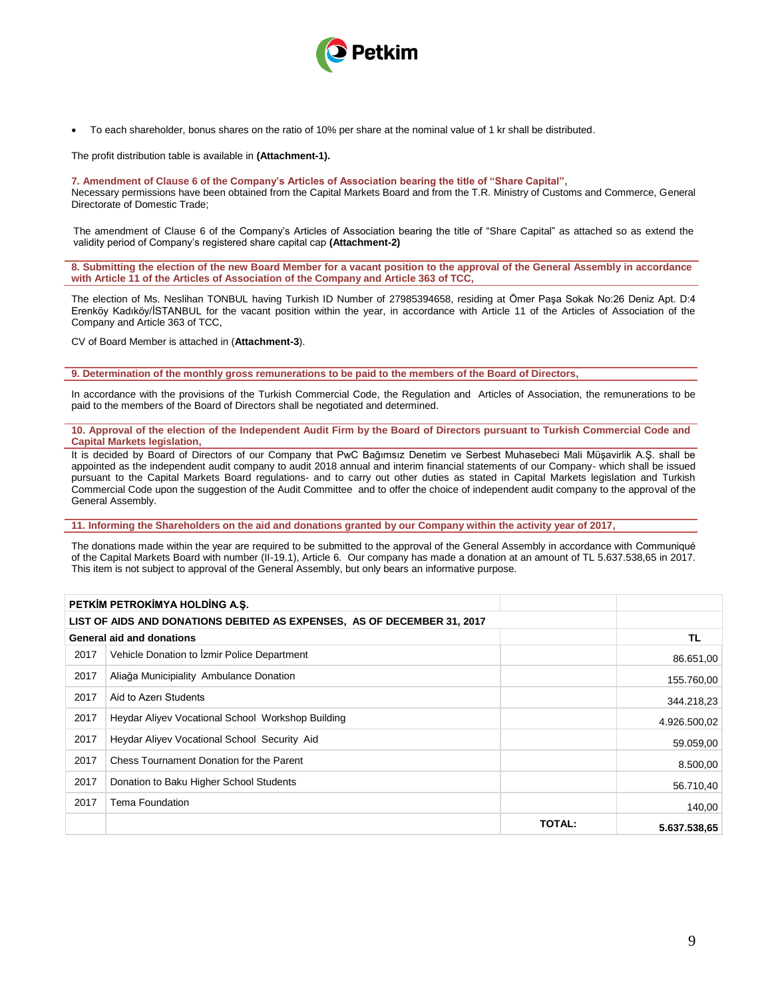

To each shareholder, bonus shares on the ratio of 10% per share at the nominal value of 1 kr shall be distributed.

The profit distribution table is available in **(Attachment-1).**

### **7. Amendment of Clause 6 of the Company's Articles of Association bearing the title of "Share Capital",**

Necessary permissions have been obtained from the Capital Markets Board and from the T.R. Ministry of Customs and Commerce, General Directorate of Domestic Trade;

The amendment of Clause 6 of the Company's Articles of Association bearing the title of "Share Capital" as attached so as extend the validity period of Company's registered share capital cap **(Attachment-2)**

**8. Submitting the election of the new Board Member for a vacant position to the approval of the General Assembly in accordance with Article 11 of the Articles of Association of the Company and Article 363 of TCC,**

The election of Ms. Neslihan TONBUL having Turkish ID Number of 27985394658, residing at Ömer Paşa Sokak No:26 Deniz Apt. D:4 Erenköy Kadıköy/İSTANBUL for the vacant position within the year, in accordance with Article 11 of the Articles of Association of the Company and Article 363 of TCC,

CV of Board Member is attached in (**Attachment-3**).

**9. Determination of the monthly gross remunerations to be paid to the members of the Board of Directors,**

In accordance with the provisions of the Turkish Commercial Code, the Regulation and Articles of Association, the remunerations to be paid to the members of the Board of Directors shall be negotiated and determined.

**10. Approval of the election of the Independent Audit Firm by the Board of Directors pursuant to Turkish Commercial Code and Capital Markets legislation,** 

It is decided by Board of Directors of our Company that PwC Bağımsız Denetim ve Serbest Muhasebeci Mali Müşavirlik A.Ş. shall be appointed as the independent audit company to audit 2018 annual and interim financial statements of our Company- which shall be issued pursuant to the Capital Markets Board regulations- and to carry out other duties as stated in Capital Markets legislation and Turkish Commercial Code upon the suggestion of the Audit Committee and to offer the choice of independent audit company to the approval of the General Assembly.

**11. Informing the Shareholders on the aid and donations granted by our Company within the activity year of 2017,**

The donations made within the year are required to be submitted to the approval of the General Assembly in accordance with Communiqué of the Capital Markets Board with number (II-19.1), Article 6. Our company has made a donation at an amount of TL 5.637.538,65 in 2017. This item is not subject to approval of the General Assembly, but only bears an informative purpose.

|      | PETKIM PETROKIMYA HOLDING A.S.                                          |               |              |
|------|-------------------------------------------------------------------------|---------------|--------------|
|      | LIST OF AIDS AND DONATIONS DEBITED AS EXPENSES, AS OF DECEMBER 31, 2017 |               |              |
|      | <b>General aid and donations</b>                                        |               | TL.          |
| 2017 | Vehicle Donation to Izmir Police Department                             |               | 86.651,00    |
| 2017 | Aliağa Municipiality Ambulance Donation                                 |               | 155.760,00   |
| 2017 | Aid to Azeri Students                                                   |               | 344.218,23   |
| 2017 | Heydar Aliyev Vocational School Workshop Building                       |               | 4.926.500,02 |
| 2017 | Heydar Aliyev Vocational School Security Aid                            |               | 59.059,00    |
| 2017 | Chess Tournament Donation for the Parent                                |               | 8.500,00     |
| 2017 | Donation to Baku Higher School Students                                 |               | 56.710,40    |
| 2017 | Tema Foundation                                                         |               | 140,00       |
|      |                                                                         | <b>TOTAL:</b> | 5.637.538.65 |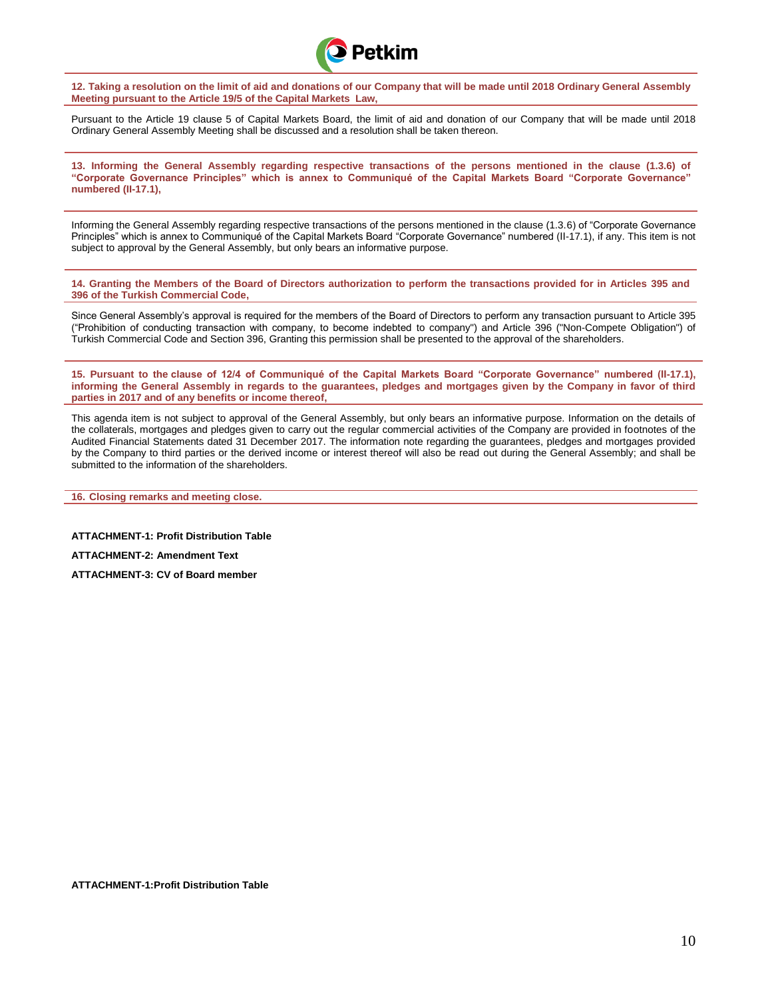Petkim

**12. Taking a resolution on the limit of aid and donations of our Company that will be made until 2018 Ordinary General Assembly Meeting pursuant to the Article 19/5 of the Capital Markets Law,**

Pursuant to the Article 19 clause 5 of Capital Markets Board, the limit of aid and donation of our Company that will be made until 2018 Ordinary General Assembly Meeting shall be discussed and a resolution shall be taken thereon.

**13. Informing the General Assembly regarding respective transactions of the persons mentioned in the clause (1.3.6) of "Corporate Governance Principles" which is annex to Communiqué of the Capital Markets Board "Corporate Governance" numbered (II-17.1),**

Informing the General Assembly regarding respective transactions of the persons mentioned in the clause (1.3.6) of "Corporate Governance Principles" which is annex to Communiqué of the Capital Markets Board "Corporate Governance" numbered (II-17.1), if any. This item is not subject to approval by the General Assembly, but only bears an informative purpose.

**14. Granting the Members of the Board of Directors authorization to perform the transactions provided for in Articles 395 and 396 of the Turkish Commercial Code,**

Since General Assembly's approval is required for the members of the Board of Directors to perform any transaction pursuant to Article 395 ("Prohibition of conducting transaction with company, to become indebted to company") and Article 396 ("Non-Compete Obligation") of Turkish Commercial Code and Section 396, Granting this permission shall be presented to the approval of the shareholders.

**15. Pursuant to the clause of 12/4 of Communiqué of the Capital Markets Board "Corporate Governance" numbered (II-17.1), informing the General Assembly in regards to the guarantees, pledges and mortgages given by the Company in favor of third parties in 2017 and of any benefits or income thereof,**

This agenda item is not subject to approval of the General Assembly, but only bears an informative purpose. Information on the details of the collaterals, mortgages and pledges given to carry out the regular commercial activities of the Company are provided in footnotes of the Audited Financial Statements dated 31 December 2017. The information note regarding the guarantees, pledges and mortgages provided by the Company to third parties or the derived income or interest thereof will also be read out during the General Assembly; and shall be submitted to the information of the shareholders.

**16. Closing remarks and meeting close.**

**ATTACHMENT-1: Profit Distribution Table ATTACHMENT-2: Amendment Text** 

**ATTACHMENT-3: CV of Board member**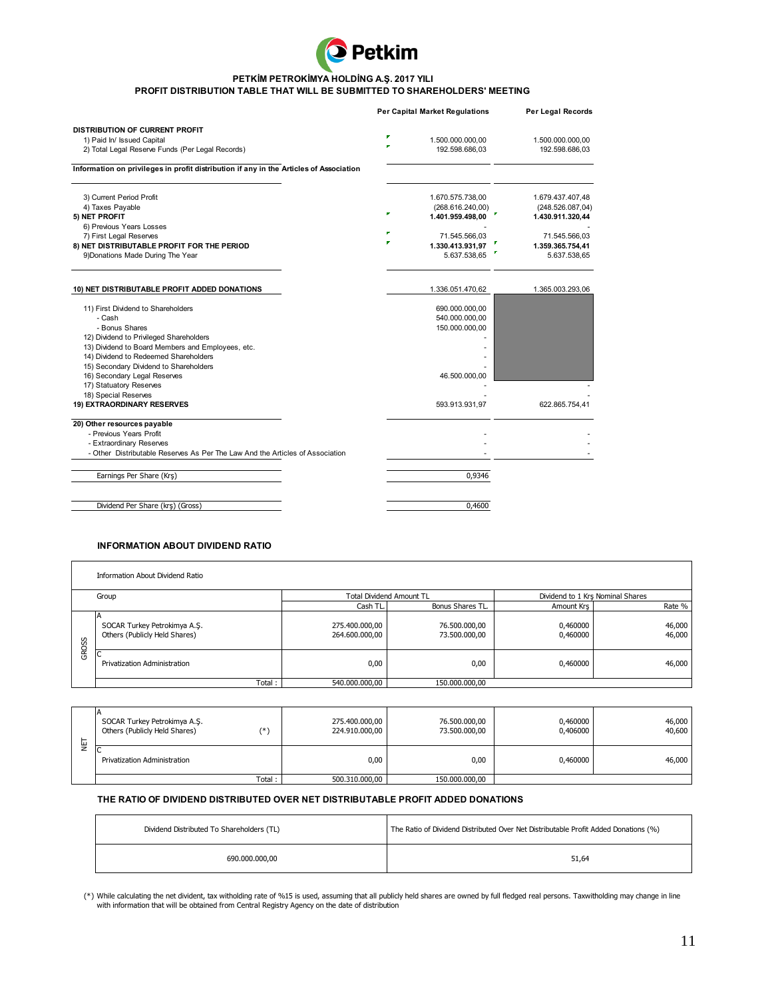

#### **PETKİM PETROKİMYA HOLDİNG A.Ş. 2017 YILI**

#### **PROFIT DISTRIBUTION TABLE THAT WILL BE SUBMITTED TO SHAREHOLDERS' MEETING**

|                                                                                        |   | <b>Per Capital Market Regulations</b> | Per Legal Records |
|----------------------------------------------------------------------------------------|---|---------------------------------------|-------------------|
| DISTRIBUTION OF CURRENT PROFIT                                                         |   |                                       |                   |
| 1) Paid In/ Issued Capital                                                             | Р | 1.500.000.000,00                      | 1.500.000.000,00  |
| 2) Total Legal Reserve Funds (Per Legal Records)                                       | × | 192.598.686,03                        | 192.598.686,03    |
| Information on privileges in profit distribution if any in the Articles of Association |   |                                       |                   |
| 3) Current Period Profit                                                               |   | 1.670.575.738,00                      | 1.679.437.407,48  |
| 4) Taxes Payable                                                                       | P | (268.616.240,00)                      | (248.526.087,04)  |
| 5) NET PROFIT                                                                          |   | 1.401.959.498,00                      | 1.430.911.320,44  |
| 6) Previous Years Losses                                                               | F |                                       |                   |
| 7) First Legal Reserves                                                                |   | 71.545.566,03                         | 71.545.566,03     |
| 8) NET DISTRIBUTABLE PROFIT FOR THE PERIOD                                             |   | 1.330.413.931,97                      | 1.359.365.754,41  |
| 9) Donations Made During The Year                                                      |   | 5.637.538,65                          | 5.637.538,65      |
| 10) NET DISTRIBUTABLE PROFIT ADDED DONATIONS                                           |   | 1.336.051.470,62                      | 1.365.003.293,06  |
|                                                                                        |   |                                       |                   |
| 11) First Dividend to Shareholders                                                     |   | 690.000.000,00                        |                   |
| - Cash                                                                                 |   | 540.000.000,00                        |                   |
| - Bonus Shares                                                                         |   | 150.000.000,00                        |                   |
| 12) Dividend to Privileged Shareholders                                                |   |                                       |                   |
| 13) Dividend to Board Members and Employees, etc.                                      |   |                                       |                   |
| 14) Dividend to Redeemed Shareholders                                                  |   |                                       |                   |
| 15) Secondary Dividend to Shareholders                                                 |   |                                       |                   |
| 16) Secondary Legal Reserves                                                           |   | 46.500.000,00                         |                   |
| 17) Statuatory Reserves                                                                |   |                                       |                   |
| 18) Special Reserves                                                                   |   |                                       |                   |
| 19) EXTRAORDINARY RESERVES                                                             |   | 593.913.931,97                        | 622.865.754,41    |
| 20) Other resources payable                                                            |   |                                       |                   |
| - Previous Years Profit                                                                |   |                                       |                   |
| - Extraordinary Reserves                                                               |   |                                       |                   |
| - Other Distributable Reserves As Per The Law And the Articles of Association          |   |                                       |                   |
| Earnings Per Share (Krş)                                                               |   | 0.9346                                |                   |
|                                                                                        |   |                                       |                   |
| Dividend Per Share (krs) (Gross)                                                       |   | 0.4600                                |                   |

## **INFORMATION ABOUT DIVIDEND RATIO**

|       | Information About Dividend Ratio                              |                                  |                                |                                  |                  |
|-------|---------------------------------------------------------------|----------------------------------|--------------------------------|----------------------------------|------------------|
|       | Group                                                         | <b>Total Dividend Amount TL</b>  |                                | Dividend to 1 Krs Nominal Shares |                  |
|       |                                                               | Cash TL.                         | <b>Bonus Shares TL</b>         | Amount Krs                       | Rate %           |
| GROSS | SOCAR Turkey Petrokimya A.Ş.<br>Others (Publicly Held Shares) | 275.400.000,00<br>264.600.000,00 | 76.500.000,00<br>73.500.000,00 | 0,460000<br>0,460000             | 46,000<br>46,000 |
|       | Privatization Administration                                  | 0,00                             | 0,00                           | 0,460000                         | 46,000           |
|       | Total:                                                        | 540.000.000,00                   | 150.000.000,00                 |                                  |                  |

| GROSS | Privatization Administration                                                                                                                                                                | 0,00                                                                                | 0,00                           | 0,460000             | 46,000           |  |
|-------|---------------------------------------------------------------------------------------------------------------------------------------------------------------------------------------------|-------------------------------------------------------------------------------------|--------------------------------|----------------------|------------------|--|
|       | Total:                                                                                                                                                                                      | 540.000.000,00                                                                      | 150.000.000,00                 |                      |                  |  |
|       |                                                                                                                                                                                             |                                                                                     |                                |                      |                  |  |
| ĒΓ    | SOCAR Turkey Petrokimya A.Ş.<br>$(*)$<br>Others (Publicly Held Shares)                                                                                                                      | 275.400.000,00<br>224.910.000,00                                                    | 76.500.000,00<br>73.500.000,00 | 0,460000<br>0,406000 | 46,000<br>40,600 |  |
|       | <b>Privatization Administration</b>                                                                                                                                                         | 0,00                                                                                | 0,00                           | 0,460000             | 46,000           |  |
|       | Total:                                                                                                                                                                                      | 500.310.000,00                                                                      | 150.000.000,00                 |                      |                  |  |
|       | THE RATIO OF DIVIDEND DISTRIBUTED OVER NET DISTRIBUTABLE PROFIT ADDED DONATIONS                                                                                                             |                                                                                     |                                |                      |                  |  |
|       | Dividend Distributed To Shareholders (TL)                                                                                                                                                   | The Ratio of Dividend Distributed Over Net Distributable Profit Added Donations (%) |                                |                      |                  |  |
|       | 690.000.000,00                                                                                                                                                                              | 51,64                                                                               |                                |                      |                  |  |
|       | (*) While calculating the net divident, tax witholding rate of %15 is used, assuming that all publicly held shares are owned by full fledged real persons. Taxwitholding may change in line |                                                                                     |                                |                      |                  |  |

## **THE RATIO OF DIVIDEND DISTRIBUTED OVER NET DISTRIBUTABLE PROFIT ADDED DONATIONS**

| Dividend Distributed To Shareholders (TL) | The Ratio of Dividend Distributed Over Net Distributable Profit Added Donations (%) |
|-------------------------------------------|-------------------------------------------------------------------------------------|
| 690.000.000.00                            | 51,64                                                                               |

While calculating the net divident, tax witholding rate of %15 is used, assuming that all publicly held shares are owned by full fledged real persons. Taxwitholding may change in line<br>with information that will be obtained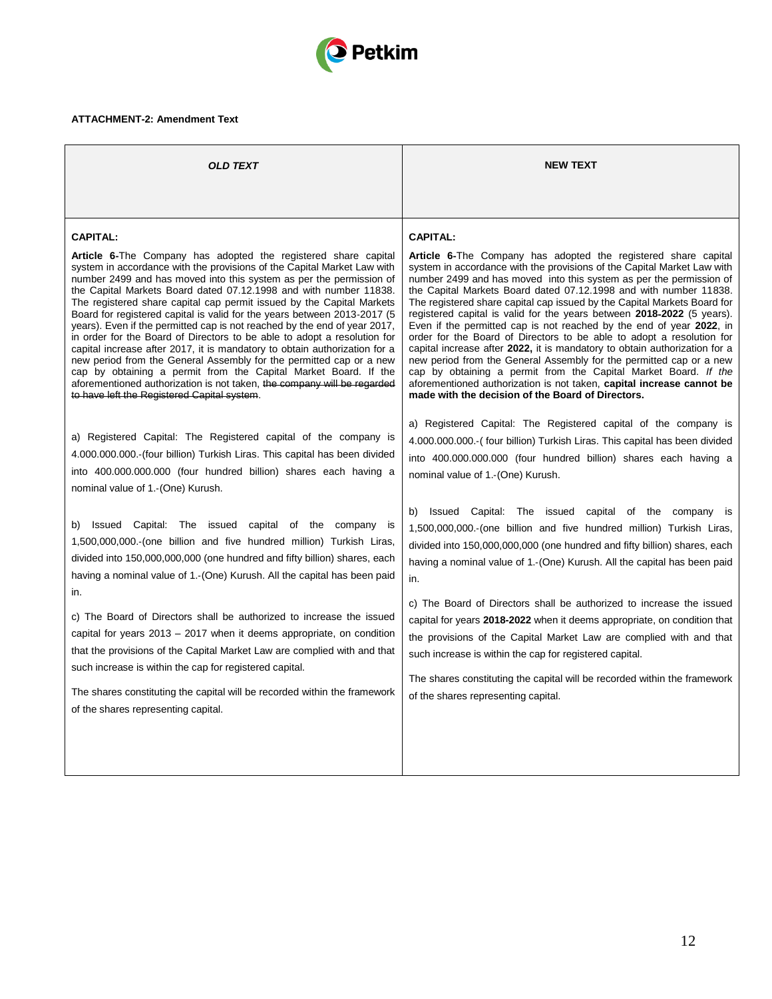

# **ATTACHMENT-2: Amendment Text**

| OLD TEXT                                                                                                                                                                                                                                                                                                                                                                                                                                                                                                                                                                                                                                                                                                                                                                                                                                                                                                                                                                 | <b>NEW TEXT</b>                                                                                                                                                                                                                                                                                                                                                                                                                                                                                                                                                                                                                                                                                                                                                                                                                                                                                                                                                              |  |
|--------------------------------------------------------------------------------------------------------------------------------------------------------------------------------------------------------------------------------------------------------------------------------------------------------------------------------------------------------------------------------------------------------------------------------------------------------------------------------------------------------------------------------------------------------------------------------------------------------------------------------------------------------------------------------------------------------------------------------------------------------------------------------------------------------------------------------------------------------------------------------------------------------------------------------------------------------------------------|------------------------------------------------------------------------------------------------------------------------------------------------------------------------------------------------------------------------------------------------------------------------------------------------------------------------------------------------------------------------------------------------------------------------------------------------------------------------------------------------------------------------------------------------------------------------------------------------------------------------------------------------------------------------------------------------------------------------------------------------------------------------------------------------------------------------------------------------------------------------------------------------------------------------------------------------------------------------------|--|
|                                                                                                                                                                                                                                                                                                                                                                                                                                                                                                                                                                                                                                                                                                                                                                                                                                                                                                                                                                          |                                                                                                                                                                                                                                                                                                                                                                                                                                                                                                                                                                                                                                                                                                                                                                                                                                                                                                                                                                              |  |
| <b>CAPITAL:</b><br>Article 6-The Company has adopted the registered share capital<br>system in accordance with the provisions of the Capital Market Law with<br>number 2499 and has moved into this system as per the permission of<br>the Capital Markets Board dated 07.12.1998 and with number 11838.<br>The registered share capital cap permit issued by the Capital Markets<br>Board for registered capital is valid for the years between 2013-2017 (5<br>years). Even if the permitted cap is not reached by the end of year 2017,<br>in order for the Board of Directors to be able to adopt a resolution for<br>capital increase after 2017, it is mandatory to obtain authorization for a<br>new period from the General Assembly for the permitted cap or a new<br>cap by obtaining a permit from the Capital Market Board. If the<br>aforementioned authorization is not taken, the company will be regarded<br>to have left the Registered Capital system. | <b>CAPITAL:</b><br><b>Article 6-The Company has adopted the registered share capital</b><br>system in accordance with the provisions of the Capital Market Law with<br>number 2499 and has moved into this system as per the permission of<br>the Capital Markets Board dated 07.12.1998 and with number 11838.<br>The registered share capital cap issued by the Capital Markets Board for<br>registered capital is valid for the years between 2018-2022 (5 years).<br>Even if the permitted cap is not reached by the end of year 2022, in<br>order for the Board of Directors to be able to adopt a resolution for<br>capital increase after 2022, it is mandatory to obtain authorization for a<br>new period from the General Assembly for the permitted cap or a new<br>cap by obtaining a permit from the Capital Market Board. If the<br>aforementioned authorization is not taken, capital increase cannot be<br>made with the decision of the Board of Directors. |  |
| a) Registered Capital: The Registered capital of the company is<br>4.000.000.000.-(four billion) Turkish Liras. This capital has been divided<br>into 400.000.000.000 (four hundred billion) shares each having a<br>nominal value of 1.-(One) Kurush.                                                                                                                                                                                                                                                                                                                                                                                                                                                                                                                                                                                                                                                                                                                   | a) Registered Capital: The Registered capital of the company is<br>4.000.000.000.- (four billion) Turkish Liras. This capital has been divided<br>into 400.000.000.000 (four hundred billion) shares each having a<br>nominal value of 1.-(One) Kurush.                                                                                                                                                                                                                                                                                                                                                                                                                                                                                                                                                                                                                                                                                                                      |  |
| Issued Capital: The issued capital of the company is<br>1,500,000,000.-(one billion and five hundred million) Turkish Liras,<br>divided into 150,000,000,000 (one hundred and fifty billion) shares, each<br>having a nominal value of 1.-(One) Kurush. All the capital has been paid<br>in.                                                                                                                                                                                                                                                                                                                                                                                                                                                                                                                                                                                                                                                                             | Issued Capital: The issued capital of the company is<br>b)<br>1,500,000,000.-(one billion and five hundred million) Turkish Liras,<br>divided into 150,000,000,000 (one hundred and fifty billion) shares, each<br>having a nominal value of 1.-(One) Kurush. All the capital has been paid<br>in.                                                                                                                                                                                                                                                                                                                                                                                                                                                                                                                                                                                                                                                                           |  |
| c) The Board of Directors shall be authorized to increase the issued<br>capital for years 2013 – 2017 when it deems appropriate, on condition<br>that the provisions of the Capital Market Law are complied with and that<br>such increase is within the cap for registered capital.<br>The shares constituting the capital will be recorded within the framework<br>of the shares representing capital.                                                                                                                                                                                                                                                                                                                                                                                                                                                                                                                                                                 | c) The Board of Directors shall be authorized to increase the issued<br>capital for years 2018-2022 when it deems appropriate, on condition that<br>the provisions of the Capital Market Law are complied with and that<br>such increase is within the cap for registered capital.<br>The shares constituting the capital will be recorded within the framework<br>of the shares representing capital.                                                                                                                                                                                                                                                                                                                                                                                                                                                                                                                                                                       |  |
|                                                                                                                                                                                                                                                                                                                                                                                                                                                                                                                                                                                                                                                                                                                                                                                                                                                                                                                                                                          |                                                                                                                                                                                                                                                                                                                                                                                                                                                                                                                                                                                                                                                                                                                                                                                                                                                                                                                                                                              |  |